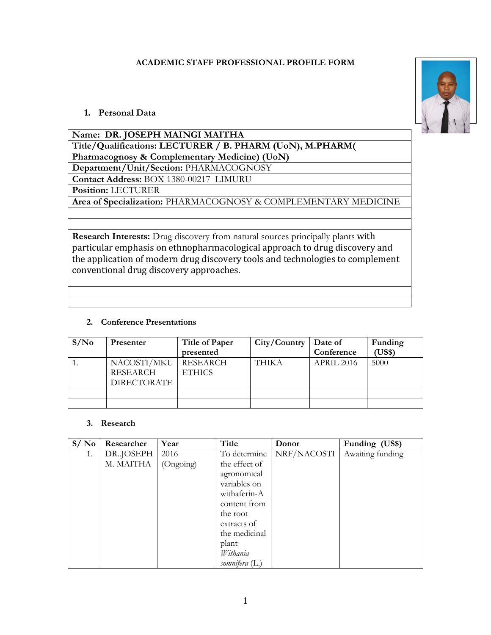## **ACADEMIC STAFF PROFESSIONAL PROFILE FORM**



# **1. Personal Data**

| Name: DR. JOSEPH MAINGI MAITHA                                                                                                                                                                                                                                                            |  |  |  |  |
|-------------------------------------------------------------------------------------------------------------------------------------------------------------------------------------------------------------------------------------------------------------------------------------------|--|--|--|--|
| Title/Qualifications: LECTURER / B. PHARM (UoN), M.PHARM(                                                                                                                                                                                                                                 |  |  |  |  |
| Pharmacognosy & Complementary Medicine) (UoN)                                                                                                                                                                                                                                             |  |  |  |  |
| Department/Unit/Section: PHARMACOGNOSY                                                                                                                                                                                                                                                    |  |  |  |  |
| Contact Address: BOX 1380-00217 LIMURU                                                                                                                                                                                                                                                    |  |  |  |  |
| Position: LECTURER                                                                                                                                                                                                                                                                        |  |  |  |  |
| Area of Specialization: PHARMACOGNOSY & COMPLEMENTARY MEDICINE                                                                                                                                                                                                                            |  |  |  |  |
|                                                                                                                                                                                                                                                                                           |  |  |  |  |
|                                                                                                                                                                                                                                                                                           |  |  |  |  |
| Research Interests: Drug discovery from natural sources principally plants with<br>particular emphasis on ethnopharmacological approach to drug discovery and<br>the application of modern drug discovery tools and technologies to complement<br>conventional drug discovery approaches. |  |  |  |  |
|                                                                                                                                                                                                                                                                                           |  |  |  |  |
|                                                                                                                                                                                                                                                                                           |  |  |  |  |

## **2. Conference Presentations**

| S/N <sub>0</sub> | <b>Presenter</b>   | Title of Paper | City/Country | Date of    | Funding |
|------------------|--------------------|----------------|--------------|------------|---------|
|                  |                    | presented      |              | Conference | (US\$)  |
|                  | NACOSTI/MKU        | RESEARCH       | <b>THIKA</b> | APRIL 2016 | 5000    |
|                  | <b>RESEARCH</b>    | <b>ETHICS</b>  |              |            |         |
|                  | <b>DIRECTORATE</b> |                |              |            |         |
|                  |                    |                |              |            |         |
|                  |                    |                |              |            |         |

#### **3. Research**

| S/No | Researcher | Year      | Title          | Donor       | Funding (US\$)   |
|------|------------|-----------|----------------|-------------|------------------|
| 1.   | DR.JOSEPH  | 2016      | To determine   | NRF/NACOSTI | Awaiting funding |
|      | M. MAITHA  | (Ongoing) | the effect of  |             |                  |
|      |            |           | agronomical    |             |                  |
|      |            |           | variables on   |             |                  |
|      |            |           | withaferin-A   |             |                  |
|      |            |           | content from   |             |                  |
|      |            |           | the root       |             |                  |
|      |            |           | extracts of    |             |                  |
|      |            |           | the medicinal  |             |                  |
|      |            |           | plant          |             |                  |
|      |            |           | Withania       |             |                  |
|      |            |           | somnifera (L.) |             |                  |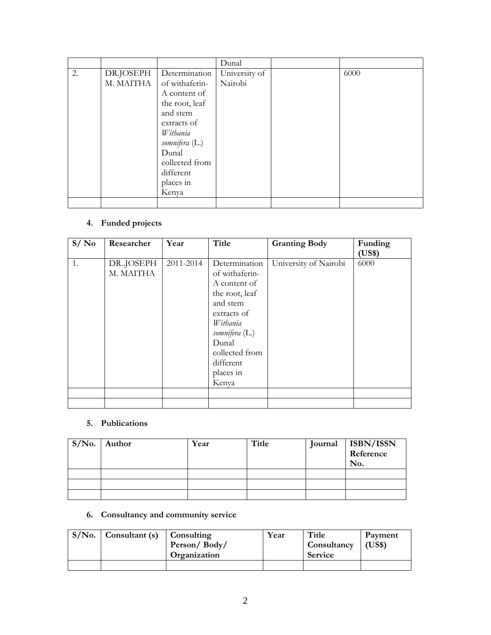|    |                        |                                                                                                                                                                                          | Dunal                    |      |
|----|------------------------|------------------------------------------------------------------------------------------------------------------------------------------------------------------------------------------|--------------------------|------|
| 2. | DR.JOSEPH<br>M. MAITHA | Determination<br>of withaferin-<br>A content of<br>the root, leaf<br>and stem<br>extracts of<br>Withania<br>somnifera (L.)<br>Dunal<br>collected from<br>different<br>places in<br>Kenya | University of<br>Nairobi | 6000 |
|    |                        |                                                                                                                                                                                          |                          |      |

# **4. Funded projects**

| S/No | Researcher             | Year      | Title                                                                                                                                                                                    | <b>Granting Body</b>  | Funding<br>(US\$) |
|------|------------------------|-----------|------------------------------------------------------------------------------------------------------------------------------------------------------------------------------------------|-----------------------|-------------------|
| 1.   | DR.JOSEPH<br>M. MAITHA | 2011-2014 | Determination<br>of withaferin-<br>A content of<br>the root, leaf<br>and stem<br>extracts of<br>Withania<br>somnifera (L.)<br>Dunal<br>collected from<br>different<br>places in<br>Kenya | University of Nairobi | 6000              |
|      |                        |           |                                                                                                                                                                                          |                       |                   |

#### **5. Publications**

| $S/N0$ . Author | Year | <b>Title</b> | Journal | <b>ISBN/ISSN</b><br>Reference<br>No. |
|-----------------|------|--------------|---------|--------------------------------------|
|                 |      |              |         |                                      |
|                 |      |              |         |                                      |
|                 |      |              |         |                                      |

# **6. Consultancy and community service**

| $S/No.$ Consultant (s) Consulting |                     | Year | Title                     | Payment |
|-----------------------------------|---------------------|------|---------------------------|---------|
|                                   | Person/Body/        |      | $\sim$ Consultancy (US\$) |         |
|                                   | <b>Organization</b> |      | <b>Service</b>            |         |
|                                   |                     |      |                           |         |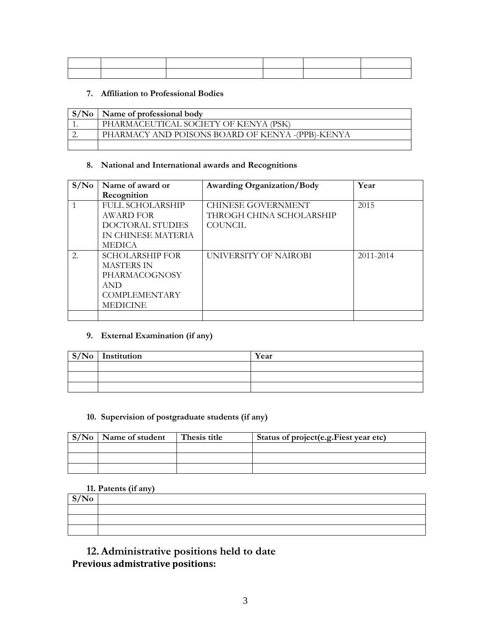#### **7. Affiliation to Professional Bodies**

| S/No | Name of professional body                        |
|------|--------------------------------------------------|
|      | PHARMACEUTICAL SOCIETY OF KENYA (PSK)            |
|      | PHARMACY AND POISONS BOARD OF KENYA -(PPB)-KENYA |
|      |                                                  |

## **8. National and International awards and Recognitions**

| S/N <sub>0</sub> | Name of award or        | <b>Awarding Organization/Body</b> | Year      |
|------------------|-------------------------|-----------------------------------|-----------|
|                  | Recognition             |                                   |           |
|                  | <b>FULL SCHOLARSHIP</b> | <b>CHINESE GOVERNMENT</b>         | 2015      |
|                  | AWARD FOR               | THROGH CHINA SCHOLARSHIP          |           |
|                  | DOCTORAL STUDIES        | <b>COUNCIL</b>                    |           |
|                  | IN CHINESE MATERIA      |                                   |           |
|                  | <b>MEDICA</b>           |                                   |           |
| 2.               | <b>SCHOLARSHIP FOR</b>  | UNIVERSITY OF NAIROBI             | 2011-2014 |
|                  | <b>MASTERS IN</b>       |                                   |           |
|                  | PHARMACOGNOSY           |                                   |           |
|                  | <b>AND</b>              |                                   |           |
|                  | <b>COMPLEMENTARY</b>    |                                   |           |
|                  | <b>MEDICINE</b>         |                                   |           |
|                  |                         |                                   |           |

#### **9. External Examination (if any)**

| $\mid S/No \mid$ Institution | Year |
|------------------------------|------|
|                              |      |
|                              |      |
|                              |      |

## **10. Supervision of postgraduate students (if any)**

| $S/No$ Name of student | Thesis title | Status of project (e.g. Fiest year etc) |
|------------------------|--------------|-----------------------------------------|
|                        |              |                                         |
|                        |              |                                         |
|                        |              |                                         |

## **11. Patents (if any)**

| S/No |  |
|------|--|
|      |  |
|      |  |
|      |  |

# **12.Administrative positions held to date Previous admistrative positions:**